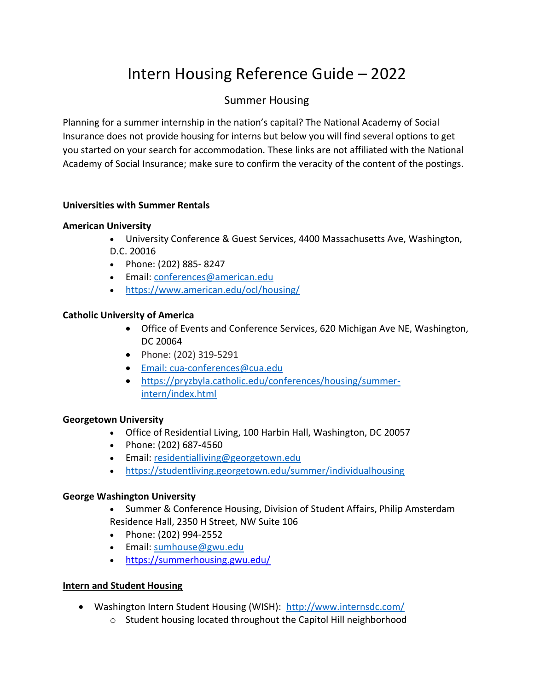# Intern Housing Reference Guide – 2022

# Summer Housing

Planning for a summer internship in the nation's capital? The National Academy of Social Insurance does not provide housing for interns but below you will find several options to get you started on your search for accommodation. These links are not affiliated with the National Academy of Social Insurance; make sure to confirm the veracity of the content of the postings.

#### **Universities with Summer Rentals**

#### **American University**

- University Conference & Guest Services, 4400 Massachusetts Ave, Washington, D.C. 20016
- Phone: (202) 885- 8247
- Email: [conferences@american.edu](mailto:conferences@american.edu)
- <https://www.american.edu/ocl/housing/>

#### **Catholic University of America**

- Office of Events and Conference Services, 620 Michigan Ave NE, Washington, DC 20064
- Phone: (202) 319-5291
- Email: [cua-conferences@cua.edu](mailto:Email: cua-conferences@cua.edu)
- [https://pryzbyla.catholic.edu/conferences/housing/summer](https://pryzbyla.catholic.edu/conferences/housing/summer-intern/index.html)[intern/index.html](https://pryzbyla.catholic.edu/conferences/housing/summer-intern/index.html)

#### **Georgetown University**

- Office of Residential Living, 100 Harbin Hall, Washington, DC 20057
- Phone: (202) 687-4560
- Email: [residentialliving@georgetown.edu](mailto:residentialliving@georgetown.edu)
- <https://studentliving.georgetown.edu/summer/individualhousing>

#### **George Washington University**

- Summer & Conference Housing, Division of Student Affairs, Philip Amsterdam Residence Hall, 2350 H Street, NW Suite 106
- Phone: (202) 994-2552
- Email: [sumhouse@gwu.edu](mailto:sumhouse@gwu.edu)
- <https://summerhousing.gwu.edu/>

#### **Intern and Student Housing**

- Washington Intern Student Housing (WISH): <http://www.internsdc.com/>
	- o Student housing located throughout the Capitol Hill neighborhood